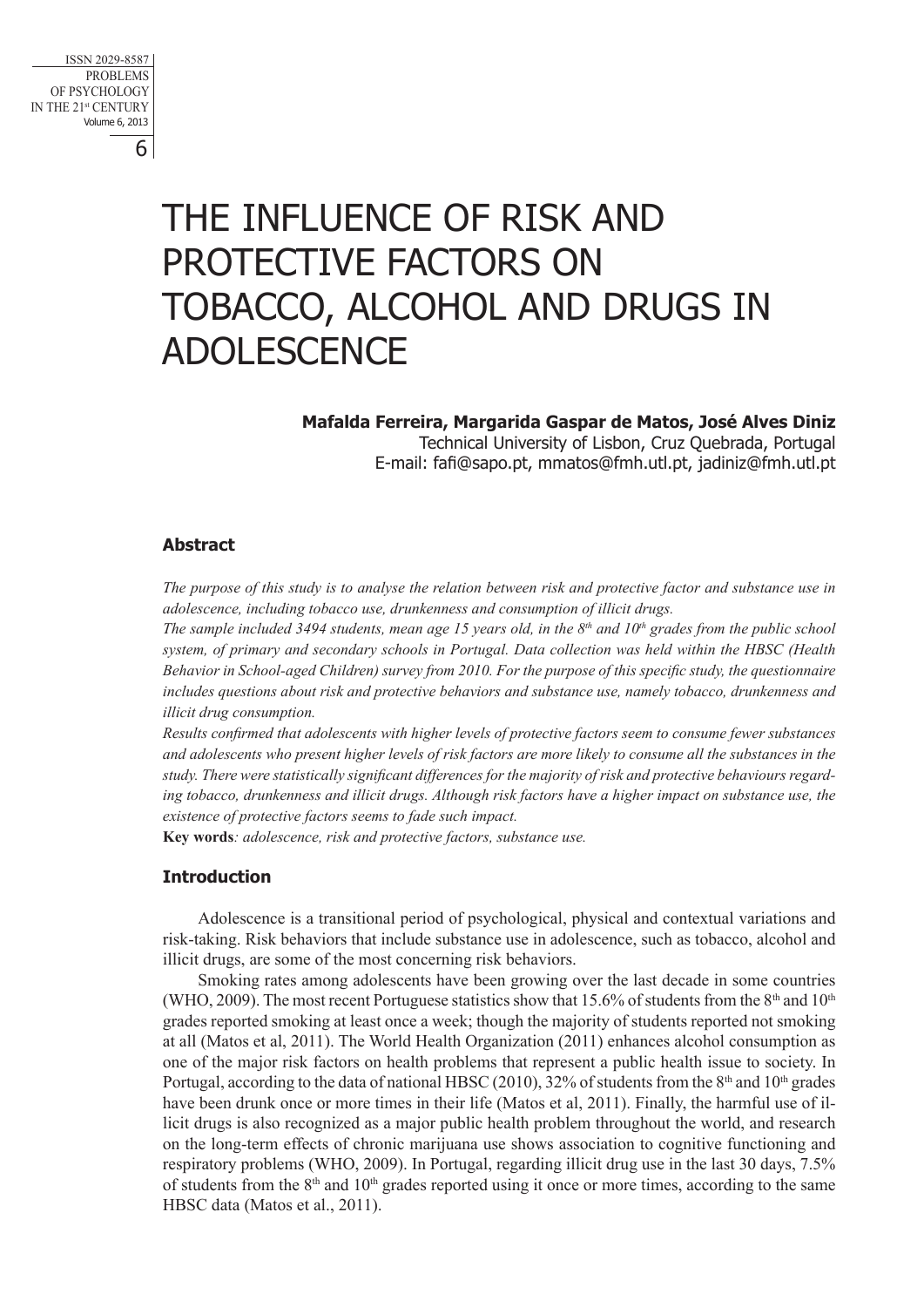6 ISSN 2029-8587 PROBLEMS OF PSYCHOLOGY IN THE 21st CENTURY Volume 6, 2013

# The influence of risk and protective factors on tobacco, alcohol and drugs in **ADOLESCENCE**

**Mafalda Ferreira, Margarida Gaspar de Matos, José Alves Diniz**  Technical University of Lisbon, Cruz Quebrada, Portugal E-mail: fafi@sapo.pt, mmatos@fmh.utl.pt, jadiniz@fmh.utl.pt

# **Abstract**

*The purpose of this study is to analyse the relation between risk and protective factor and substance use in adolescence, including tobacco use, drunkenness and consumption of illicit drugs.*

*The sample included 3494 students, mean age 15 years old, in the 8th and 10th grades from the public school system, of primary and secondary schools in Portugal. Data collection was held within the HBSC (Health Behavior in School-aged Children) survey from 2010. For the purpose of this specific study, the questionnaire includes questions about risk and protective behaviors and substance use, namely tobacco, drunkenness and illicit drug consumption.* 

*Results confirmed that adolescents with higher levels of protective factors seem to consume fewer substances*  and adolescents who present higher levels of risk factors are more likely to consume all the substances in the *study. There were statistically significant differences for the majority of risk and protective behaviours regarding tobacco, drunkenness and illicit drugs. Although risk factors have a higher impact on substance use, the existence of protective factors seems to fade such impact.*

**Key words***: adolescence, risk and protective factors, substance use.* 

# **Introduction**

Adolescence is a transitional period of psychological, physical and contextual variations and risk-taking. Risk behaviors that include substance use in adolescence, such as tobacco, alcohol and illicit drugs, are some of the most concerning risk behaviors.

Smoking rates among adolescents have been growing over the last decade in some countries (WHO, 2009). The most recent Portuguese statistics show that 15.6% of students from the 8<sup>th</sup> and 10<sup>th</sup> grades reported smoking at least once a week; though the majority of students reported not smoking at all (Matos et al, 2011). The World Health Organization (2011) enhances alcohol consumption as one of the major risk factors on health problems that represent a public health issue to society. In Portugal, according to the data of national HBSC (2010), 32% of students from the 8<sup>th</sup> and 10<sup>th</sup> grades have been drunk once or more times in their life (Matos et al, 2011). Finally, the harmful use of illicit drugs is also recognized as a major public health problem throughout the world, and research on the long-term effects of chronic marijuana use shows association to cognitive functioning and respiratory problems (WHO, 2009). In Portugal, regarding illicit drug use in the last 30 days, 7.5% of students from the  $8<sup>th</sup>$  and  $10<sup>th</sup>$  grades reported using it once or more times, according to the same HBSC data (Matos et al., 2011).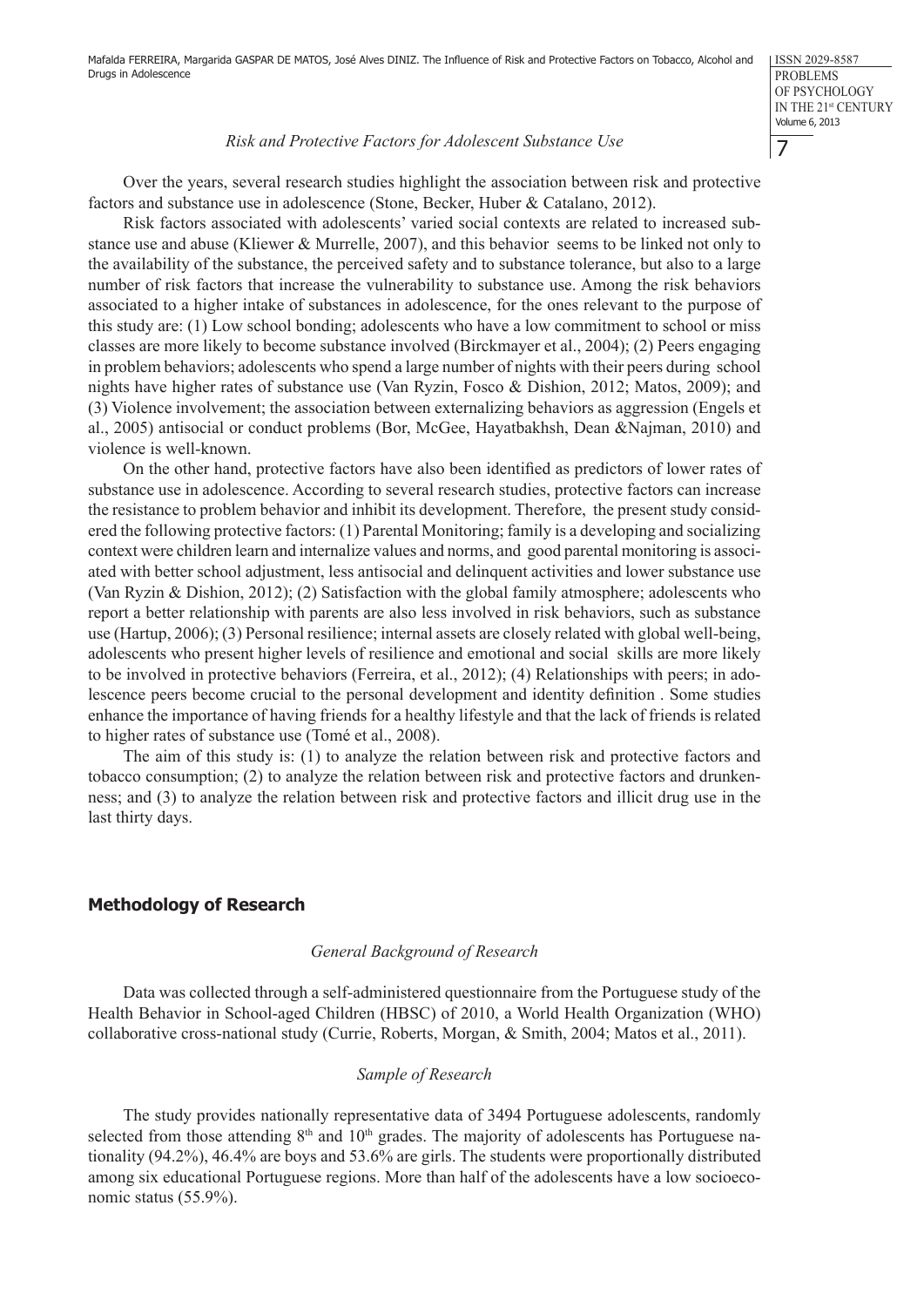## *Risk and Protective Factors for Adolescent Substance Use*

Over the years, several research studies highlight the association between risk and protective factors and substance use in adolescence (Stone, Becker, Huber & Catalano, 2012).

Risk factors associated with adolescents' varied social contexts are related to increased substance use and abuse (Kliewer & Murrelle, 2007), and this behavior seems to be linked not only to the availability of the substance, the perceived safety and to substance tolerance, but also to a large number of risk factors that increase the vulnerability to substance use. Among the risk behaviors associated to a higher intake of substances in adolescence, for the ones relevant to the purpose of this study are: (1) Low school bonding; adolescents who have a low commitment to school or miss classes are more likely to become substance involved (Birckmayer et al., 2004); (2) Peers engaging in problem behaviors; adolescents who spend a large number of nights with their peers during school nights have higher rates of substance use (Van Ryzin, Fosco & Dishion, 2012; Matos, 2009); and (3) Violence involvement; the association between externalizing behaviors as aggression (Engels et al., 2005) antisocial or conduct problems (Bor, McGee, Hayatbakhsh, Dean &Najman, 2010) and violence is well-known.

On the other hand, protective factors have also been identified as predictors of lower rates of substance use in adolescence. According to several research studies, protective factors can increase the resistance to problem behavior and inhibit its development. Therefore, the present study considered the following protective factors: (1) Parental Monitoring; family is a developing and socializing context were children learn and internalize values and norms, and good parental monitoring is associated with better school adjustment, less antisocial and delinquent activities and lower substance use (Van Ryzin & Dishion, 2012); (2) Satisfaction with the global family atmosphere; adolescents who report a better relationship with parents are also less involved in risk behaviors, such as substance use (Hartup, 2006); (3) Personal resilience; internal assets are closely related with global well-being, adolescents who present higher levels of resilience and emotional and social skills are more likely to be involved in protective behaviors (Ferreira, et al., 2012); (4) Relationships with peers; in adolescence peers become crucial to the personal development and identity definition . Some studies enhance the importance of having friends for a healthy lifestyle and that the lack of friends is related to higher rates of substance use (Tomé et al., 2008).

The aim of this study is: (1) to analyze the relation between risk and protective factors and tobacco consumption; (2) to analyze the relation between risk and protective factors and drunkenness; and (3) to analyze the relation between risk and protective factors and illicit drug use in the last thirty days.

# **Methodology of Research**

#### *General Background of Research*

Data was collected through a self-administered questionnaire from the Portuguese study of the Health Behavior in School-aged Children (HBSC) of 2010, a World Health Organization (WHO) collaborative cross-national study (Currie, Roberts, Morgan, & Smith, 2004; Matos et al., 2011).

#### *Sample of Research*

The study provides nationally representative data of 3494 Portuguese adolescents, randomly selected from those attending  $8<sup>th</sup>$  and  $10<sup>th</sup>$  grades. The majority of adolescents has Portuguese nationality (94.2%), 46.4% are boys and 53.6% are girls. The students were proportionally distributed among six educational Portuguese regions. More than half of the adolescents have a low socioeconomic status (55.9%).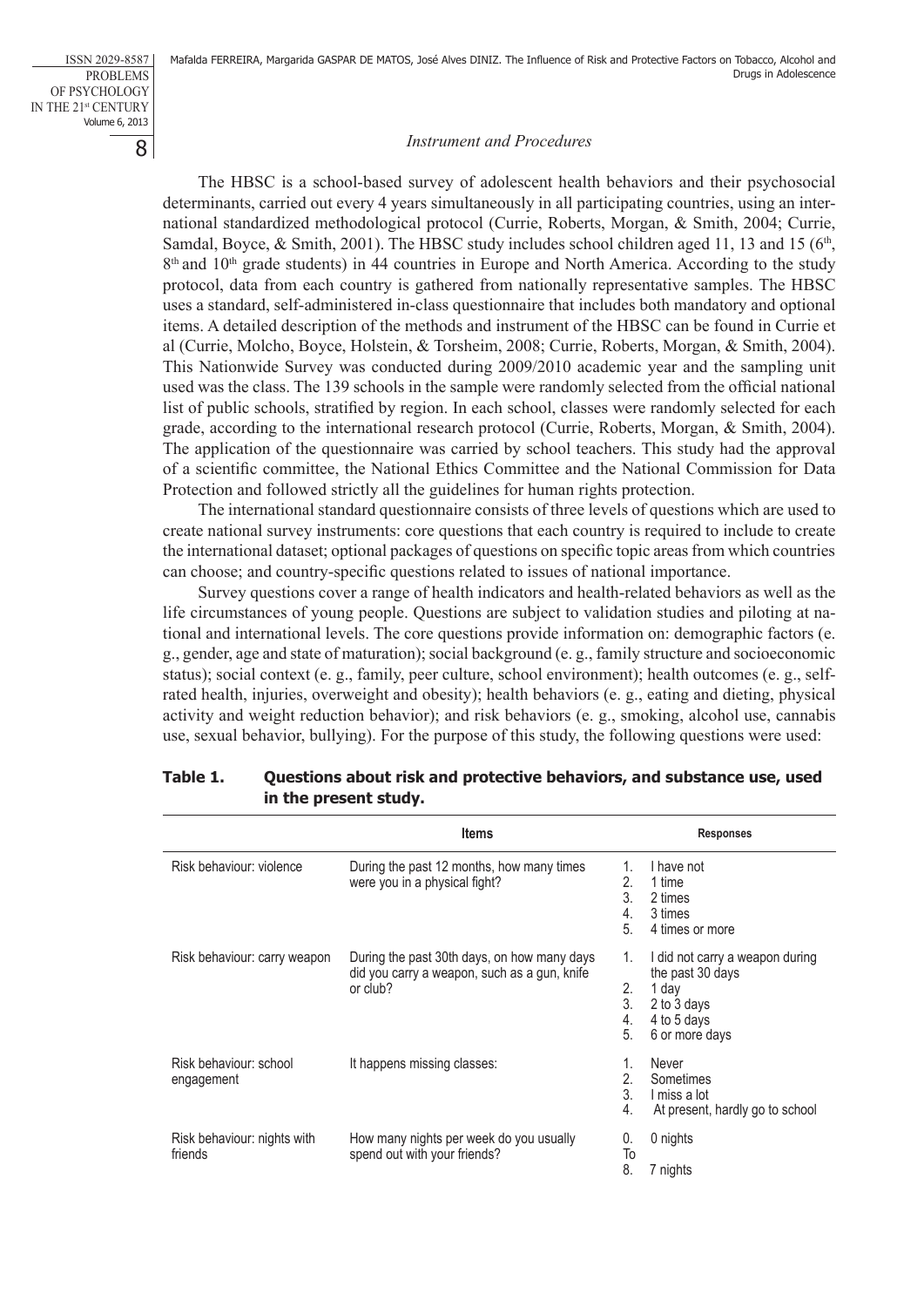8 ISSN 2029-8587 PROBLEMS OF PSYCHOLOGY IN THE 21st CENTURY Volume 6, 2013

## *Instrument and Procedures*

The HBSC is a school-based survey of adolescent health behaviors and their psychosocial determinants, carried out every 4 years simultaneously in all participating countries, using an international standardized methodological protocol (Currie, Roberts, Morgan, & Smith, 2004; Currie, Samdal, Boyce, & Smith, 2001). The HBSC study includes school children aged 11, 13 and 15 ( $6<sup>th</sup>$ ,  $8<sup>th</sup>$  and  $10<sup>th</sup>$  grade students) in 44 countries in Europe and North America. According to the study protocol, data from each country is gathered from nationally representative samples. The HBSC uses a standard, self-administered in-class questionnaire that includes both mandatory and optional items. A detailed description of the methods and instrument of the HBSC can be found in Currie et al (Currie, Molcho, Boyce, Holstein, & Torsheim, 2008; Currie, Roberts, Morgan, & Smith, 2004). This Nationwide Survey was conducted during 2009/2010 academic year and the sampling unit used was the class. The 139 schools in the sample were randomly selected from the official national list of public schools, stratified by region. In each school, classes were randomly selected for each grade, according to the international research protocol (Currie, Roberts, Morgan, & Smith, 2004). The application of the questionnaire was carried by school teachers. This study had the approval of a scientific committee, the National Ethics Committee and the National Commission for Data Protection and followed strictly all the guidelines for human rights protection.

The international standard questionnaire consists of three levels of questions which are used to create national survey instruments: core questions that each country is required to include to create the international dataset; optional packages of questions on specific topic areas from which countries can choose; and country-specific questions related to issues of national importance.

Survey questions cover a range of health indicators and health-related behaviors as well as the life circumstances of young people. Questions are subject to validation studies and piloting at national and international levels. The core questions provide information on: demographic factors (e. g., gender, age and state of maturation); social background (e. g., family structure and socioeconomic status); social context (e. g., family, peer culture, school environment); health outcomes (e. g., selfrated health, injuries, overweight and obesity); health behaviors (e. g., eating and dieting, physical activity and weight reduction behavior); and risk behaviors (e. g., smoking, alcohol use, cannabis use, sexual behavior, bullying). For the purpose of this study, the following questions were used:

|                                        | <b>Items</b>                                                                                            |                            | <b>Responses</b>                                                                                             |
|----------------------------------------|---------------------------------------------------------------------------------------------------------|----------------------------|--------------------------------------------------------------------------------------------------------------|
| Risk behaviour: violence               | During the past 12 months, how many times<br>were you in a physical fight?                              | 1.<br>2.<br>3.<br>4.<br>5. | I have not<br>1 time<br>2 times<br>3 times<br>4 times or more                                                |
| Risk behaviour: carry weapon           | During the past 30th days, on how many days<br>did you carry a weapon, such as a gun, knife<br>or club? | 1.<br>2.<br>3.<br>4.<br>5. | I did not carry a weapon during<br>the past 30 days<br>1 day<br>2 to 3 days<br>4 to 5 days<br>6 or more days |
| Risk behaviour: school<br>engagement   | It happens missing classes:                                                                             | 1.<br>2.<br>3.<br>4.       | Never<br>Sometimes<br>I miss a lot<br>At present, hardly go to school                                        |
| Risk behaviour: nights with<br>friends | How many nights per week do you usually<br>spend out with your friends?                                 | 0.<br>To<br>8.             | 0 nights                                                                                                     |
|                                        |                                                                                                         |                            | 7 nights                                                                                                     |

# **Table 1. Questions about risk and protective behaviors, and substance use, used in the present study.**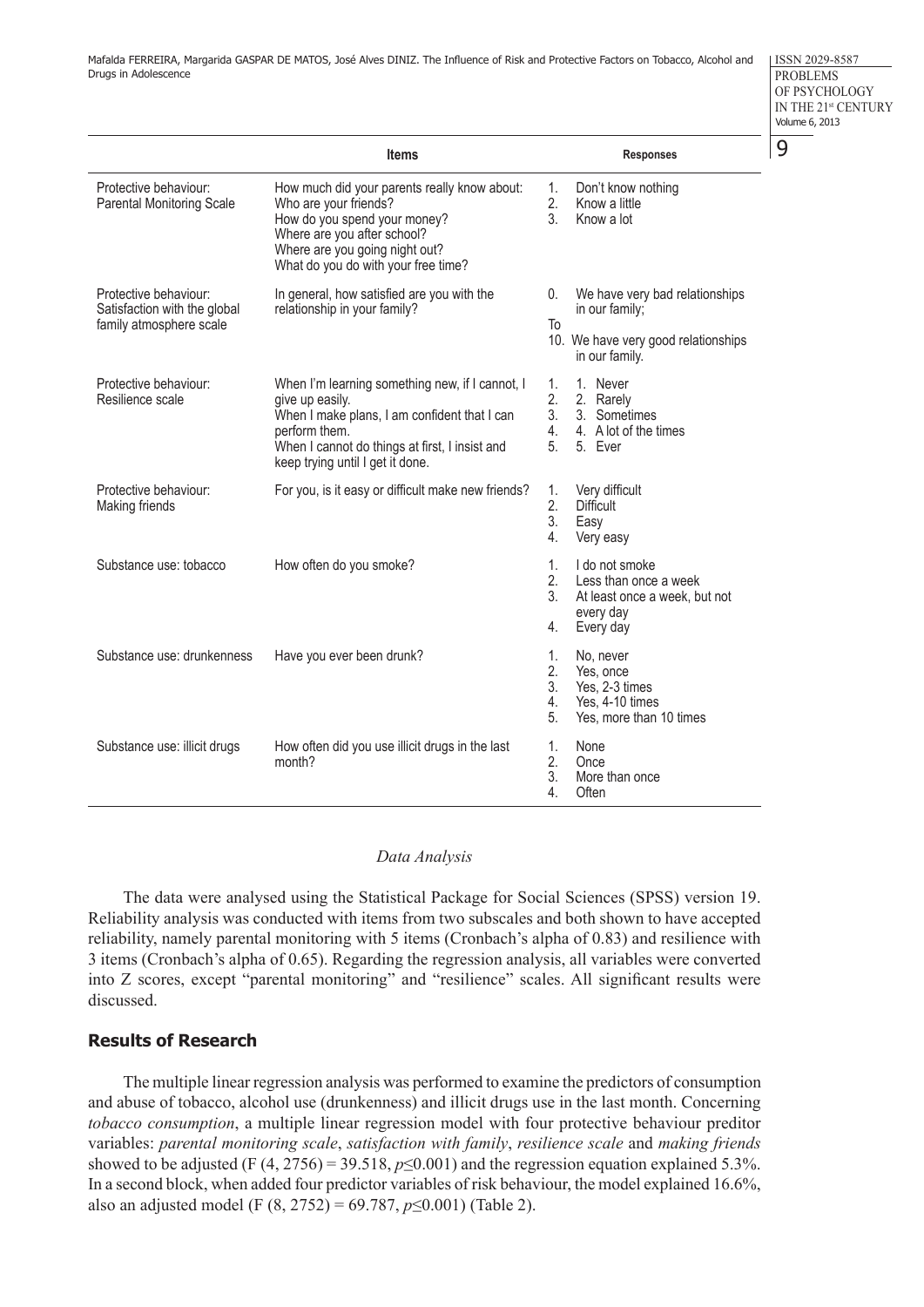ISSN 2029-8587 PROBLEMS OF PSYCHOLOGY IN THE 21st CENTURY Volume 6, 2013

9

|                                                                                  | <b>Items</b>                                                                                                                                                                                                              |                            | <b>Responses</b>                                                                                          |
|----------------------------------------------------------------------------------|---------------------------------------------------------------------------------------------------------------------------------------------------------------------------------------------------------------------------|----------------------------|-----------------------------------------------------------------------------------------------------------|
| Protective behaviour:<br><b>Parental Monitoring Scale</b>                        | How much did your parents really know about:<br>Who are your friends?<br>How do you spend your money?<br>Where are you after school?<br>Where are you going night out?<br>What do you do with your free time?             | 1.<br>2.<br>3 <sub>1</sub> | Don't know nothing<br>Know a little<br>Know a lot                                                         |
| Protective behaviour:<br>Satisfaction with the global<br>family atmosphere scale | In general, how satisfied are you with the<br>relationship in your family?                                                                                                                                                | 0.<br>To                   | We have very bad relationships<br>in our family;<br>10. We have very good relationships<br>in our family. |
| Protective behaviour:<br>Resilience scale                                        | When I'm learning something new, if I cannot, I<br>give up easily.<br>When I make plans, I am confident that I can<br>perform them.<br>When I cannot do things at first, I insist and<br>keep trying until I get it done. | 1.<br>2.<br>3.<br>4.<br>5. | 1. Never<br>2. Rarely<br>3. Sometimes<br>4. A lot of the times<br>5. Ever                                 |
| Protective behaviour:<br>Making friends                                          | For you, is it easy or difficult make new friends?                                                                                                                                                                        | 1.<br>2.<br>3.<br>4.       | Very difficult<br><b>Difficult</b><br>Easy<br>Very easy                                                   |
| Substance use: tobacco                                                           | How often do you smoke?                                                                                                                                                                                                   | 1.<br>2.<br>3.<br>4.       | I do not smoke<br>Less than once a week<br>At least once a week, but not<br>every day<br>Every day        |
| Substance use: drunkenness                                                       | Have you ever been drunk?                                                                                                                                                                                                 | 1.<br>2.<br>3.<br>4.<br>5. | No, never<br>Yes, once<br>Yes, 2-3 times<br>Yes, 4-10 times<br>Yes, more than 10 times                    |
| Substance use: illicit drugs                                                     | How often did you use illicit drugs in the last<br>month?                                                                                                                                                                 | 1.<br>2.<br>3.<br>4.       | None<br>Once<br>More than once<br>Often                                                                   |

#### *Data Analysis*

The data were analysed using the Statistical Package for Social Sciences (SPSS) version 19. Reliability analysis was conducted with items from two subscales and both shown to have accepted reliability, namely parental monitoring with 5 items (Cronbach's alpha of 0.83) and resilience with 3 items (Cronbach's alpha of 0.65). Regarding the regression analysis, all variables were converted into Z scores, except "parental monitoring" and "resilience" scales. All significant results were discussed.

### **Results of Research**

The multiple linear regression analysis was performed to examine the predictors of consumption and abuse of tobacco, alcohol use (drunkenness) and illicit drugs use in the last month. Concerning *tobacco consumption*, a multiple linear regression model with four protective behaviour preditor variables: *parental monitoring scale*, *satisfaction with family*, *resilience scale* and *making friends* showed to be adjusted (F  $(4, 2756) = 39.518$ ,  $p \le 0.001$ ) and the regression equation explained 5.3%. In a second block, when added four predictor variables of risk behaviour, the model explained 16.6%, also an adjusted model (F (8, 2752) = 69.787, *p*≤0.001) (Table 2).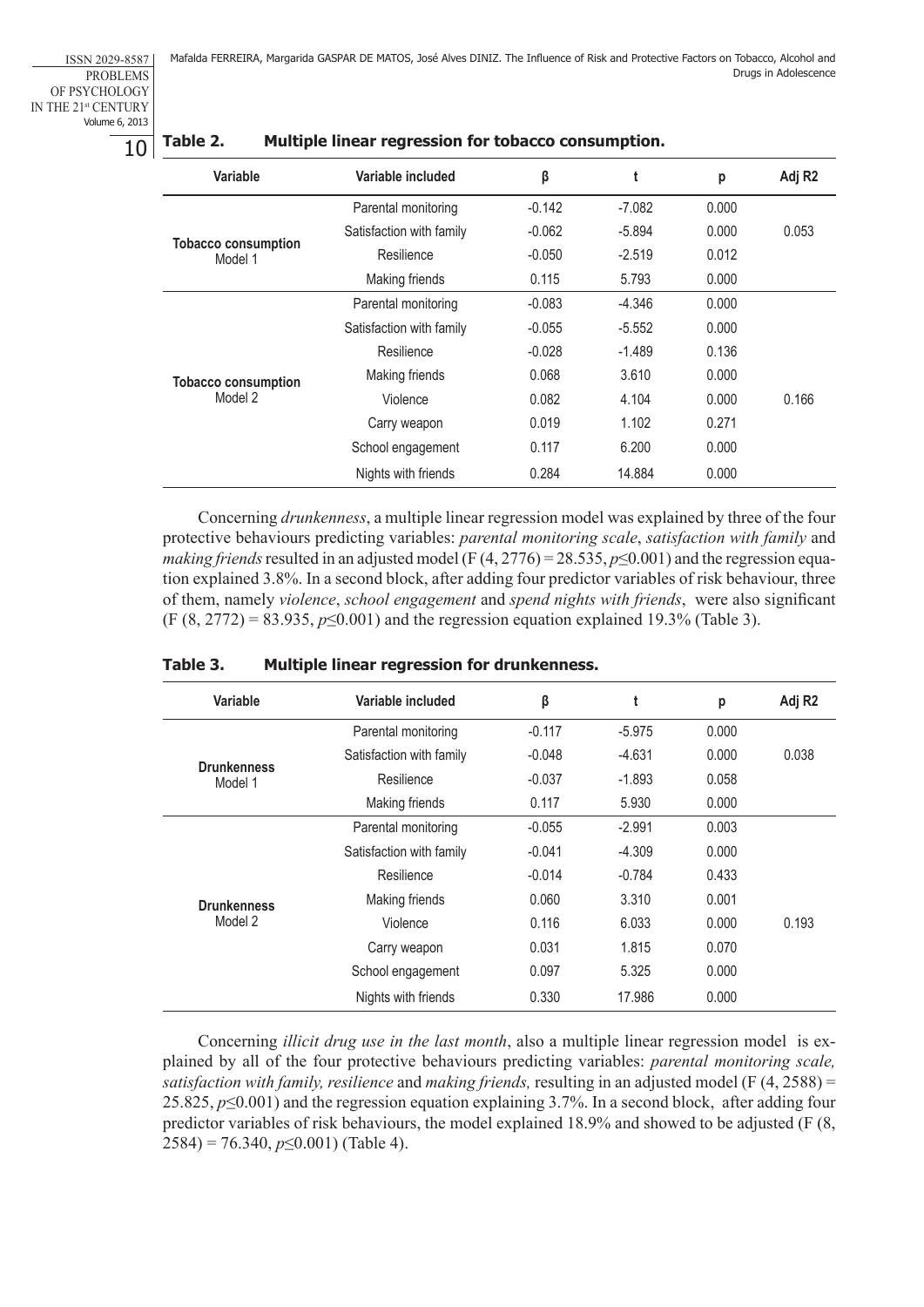ISSN 2029-8587 PROBLEMS OF PSYCHOLOGY IN THE 21st CENTURY Volume 6, 2013

10

| Table 2.                                                                       | Multiple linear regression for tobacco consumption. |          |          |       |                    |
|--------------------------------------------------------------------------------|-----------------------------------------------------|----------|----------|-------|--------------------|
| Variable                                                                       | Variable included                                   | β        | t        | р     | Adj R <sub>2</sub> |
|                                                                                | Parental monitoring                                 | $-0.142$ | $-7.082$ | 0.000 |                    |
|                                                                                | Satisfaction with family                            | $-0.062$ | $-5.894$ | 0.000 | 0.053              |
| <b>Tobacco consumption</b><br>Model 1<br><b>Tobacco consumption</b><br>Model 2 | Resilience                                          | $-0.050$ | $-2.519$ | 0.012 |                    |
|                                                                                | Making friends                                      | 0.115    | 5.793    | 0.000 |                    |
|                                                                                | Parental monitoring                                 | $-0.083$ | $-4.346$ | 0.000 |                    |
|                                                                                | Satisfaction with family                            | $-0.055$ | $-5.552$ | 0.000 |                    |
|                                                                                | Resilience                                          | $-0.028$ | $-1.489$ | 0.136 |                    |
|                                                                                | Making friends                                      | 0.068    | 3.610    | 0.000 |                    |
|                                                                                | Violence                                            | 0.082    | 4.104    | 0.000 | 0.166              |
|                                                                                | Carry weapon                                        | 0.019    | 1.102    | 0.271 |                    |
|                                                                                | School engagement                                   | 0.117    | 6.200    | 0.000 |                    |
|                                                                                | Nights with friends                                 | 0.284    | 14.884   | 0.000 |                    |

Concerning *drunkenness*, a multiple linear regression model was explained by three of the four protective behaviours predicting variables: *parental monitoring scale*, *satisfaction with family* and *making friends* resulted in an adjusted model (F (4, 2776) = 28.535, *p*≤0.001) and the regression equation explained 3.8%. In a second block, after adding four predictor variables of risk behaviour, three of them, namely *violence*, *school engagement* and *spend nights with friends*, were also significant (F (8, 2772) = 83.935, *p*≤0.001) and the regression equation explained 19.3% (Table 3).

| Variable                      | Variable included        | β        | t        | р     | Adj R <sub>2</sub> |
|-------------------------------|--------------------------|----------|----------|-------|--------------------|
|                               | Parental monitoring      | $-0.117$ | $-5.975$ | 0.000 |                    |
|                               | Satisfaction with family | $-0.048$ | $-4.631$ | 0.000 | 0.038              |
| <b>Drunkenness</b><br>Model 1 | Resilience               | $-0.037$ | $-1.893$ | 0.058 |                    |
|                               | Making friends           | 0.117    | 5.930    | 0.000 |                    |
|                               | Parental monitoring      | $-0.055$ | $-2.991$ | 0.003 |                    |
| <b>Drunkenness</b><br>Model 2 | Satisfaction with family | $-0.041$ | $-4.309$ | 0.000 |                    |
|                               | Resilience               | $-0.014$ | $-0.784$ | 0.433 |                    |
|                               | Making friends           | 0.060    | 3.310    | 0.001 |                    |
|                               | Violence                 | 0.116    | 6.033    | 0.000 | 0.193              |
|                               | Carry weapon             | 0.031    | 1.815    | 0.070 |                    |
|                               | School engagement        | 0.097    | 5.325    | 0.000 |                    |
|                               | Nights with friends      | 0.330    | 17.986   | 0.000 |                    |
|                               |                          |          |          |       |                    |

|  | Table 3. |  |  |  |  | Multiple linear regression for drunkenness. |
|--|----------|--|--|--|--|---------------------------------------------|
|--|----------|--|--|--|--|---------------------------------------------|

Concerning *illicit drug use in the last month*, also a multiple linear regression model is explained by all of the four protective behaviours predicting variables: *parental monitoring scale, satisfaction with family, resilience* and *making friends,* resulting in an adjusted model (F (4, 2588) = 25.825, *p*≤0.001) and the regression equation explaining 3.7%. In a second block, after adding four predictor variables of risk behaviours, the model explained 18.9% and showed to be adjusted (F (8, 2584) = 76.340, *p*≤0.001) (Table 4).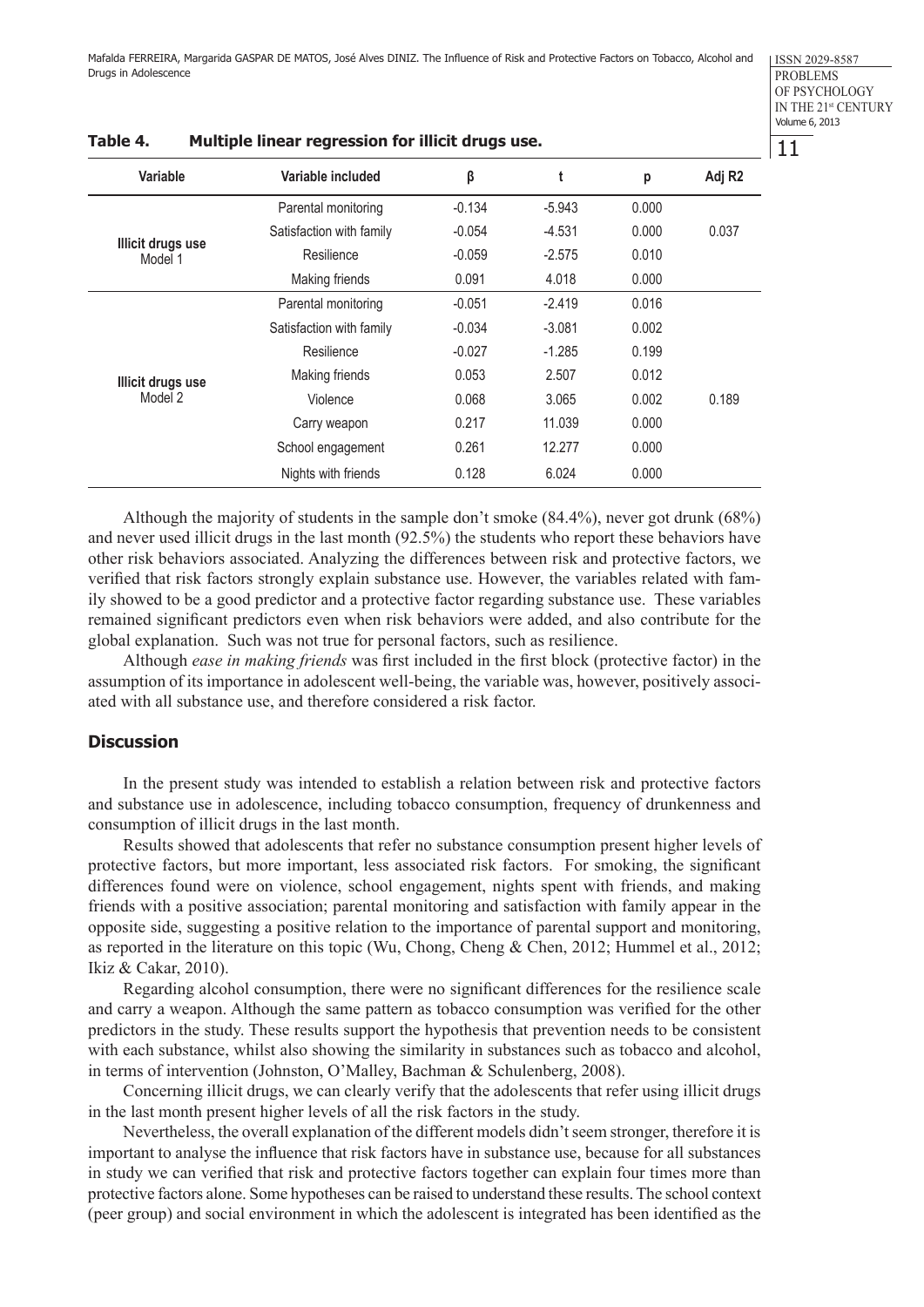| Variable                            | Variable included        | β        | t        | р     | Adj R <sub>2</sub> |
|-------------------------------------|--------------------------|----------|----------|-------|--------------------|
|                                     | Parental monitoring      | $-0.134$ | $-5.943$ | 0.000 |                    |
|                                     | Satisfaction with family | $-0.054$ | $-4.531$ | 0.000 | 0.037              |
| Illicit drugs use<br>Model 1        | Resilience               | $-0.059$ | $-2.575$ | 0.010 |                    |
|                                     | Making friends           | 0.091    | 4.018    | 0.000 |                    |
| <b>Illicit drugs use</b><br>Model 2 | Parental monitoring      | $-0.051$ | $-2.419$ | 0.016 |                    |
|                                     | Satisfaction with family | $-0.034$ | $-3.081$ | 0.002 |                    |
|                                     | Resilience               | $-0.027$ | $-1.285$ | 0.199 |                    |
|                                     | Making friends           | 0.053    | 2.507    | 0.012 |                    |
|                                     | Violence                 | 0.068    | 3.065    | 0.002 | 0.189              |
|                                     | Carry weapon             | 0.217    | 11.039   | 0.000 |                    |
|                                     | School engagement        | 0.261    | 12.277   | 0.000 |                    |
|                                     | Nights with friends      | 0.128    | 6.024    | 0.000 |                    |

## **Table 4. Multiple linear regression for illicit drugs use.**

Although the majority of students in the sample don't smoke (84.4%), never got drunk (68%) and never used illicit drugs in the last month (92.5%) the students who report these behaviors have other risk behaviors associated. Analyzing the differences between risk and protective factors, we verified that risk factors strongly explain substance use. However, the variables related with family showed to be a good predictor and a protective factor regarding substance use. These variables remained significant predictors even when risk behaviors were added, and also contribute for the global explanation. Such was not true for personal factors, such as resilience.

Although *ease in making friends* was first included in the first block (protective factor) in the assumption of its importance in adolescent well-being, the variable was, however, positively associated with all substance use, and therefore considered a risk factor.

## **Discussion**

In the present study was intended to establish a relation between risk and protective factors and substance use in adolescence, including tobacco consumption, frequency of drunkenness and consumption of illicit drugs in the last month.

Results showed that adolescents that refer no substance consumption present higher levels of protective factors, but more important, less associated risk factors. For smoking, the significant differences found were on violence, school engagement, nights spent with friends, and making friends with a positive association; parental monitoring and satisfaction with family appear in the opposite side, suggesting a positive relation to the importance of parental support and monitoring, as reported in the literature on this topic (Wu, Chong, Cheng & Chen, 2012; Hummel et al., 2012; Ikiz & Cakar, 2010).

Regarding alcohol consumption, there were no significant differences for the resilience scale and carry a weapon. Although the same pattern as tobacco consumption was verified for the other predictors in the study. These results support the hypothesis that prevention needs to be consistent with each substance, whilst also showing the similarity in substances such as tobacco and alcohol, in terms of intervention (Johnston, O'Malley, Bachman & Schulenberg, 2008).

Concerning illicit drugs, we can clearly verify that the adolescents that refer using illicit drugs in the last month present higher levels of all the risk factors in the study.

Nevertheless, the overall explanation of the different models didn't seem stronger, therefore it is important to analyse the influence that risk factors have in substance use, because for all substances in study we can verified that risk and protective factors together can explain four times more than protective factors alone. Some hypotheses can be raised to understand these results. The school context (peer group) and social environment in which the adolescent is integrated has been identified as the

11

ISSN 2029-8587 PROBLEMS OF PSYCHOLOGY IN THE 21st CENTURY Volume 6, 2013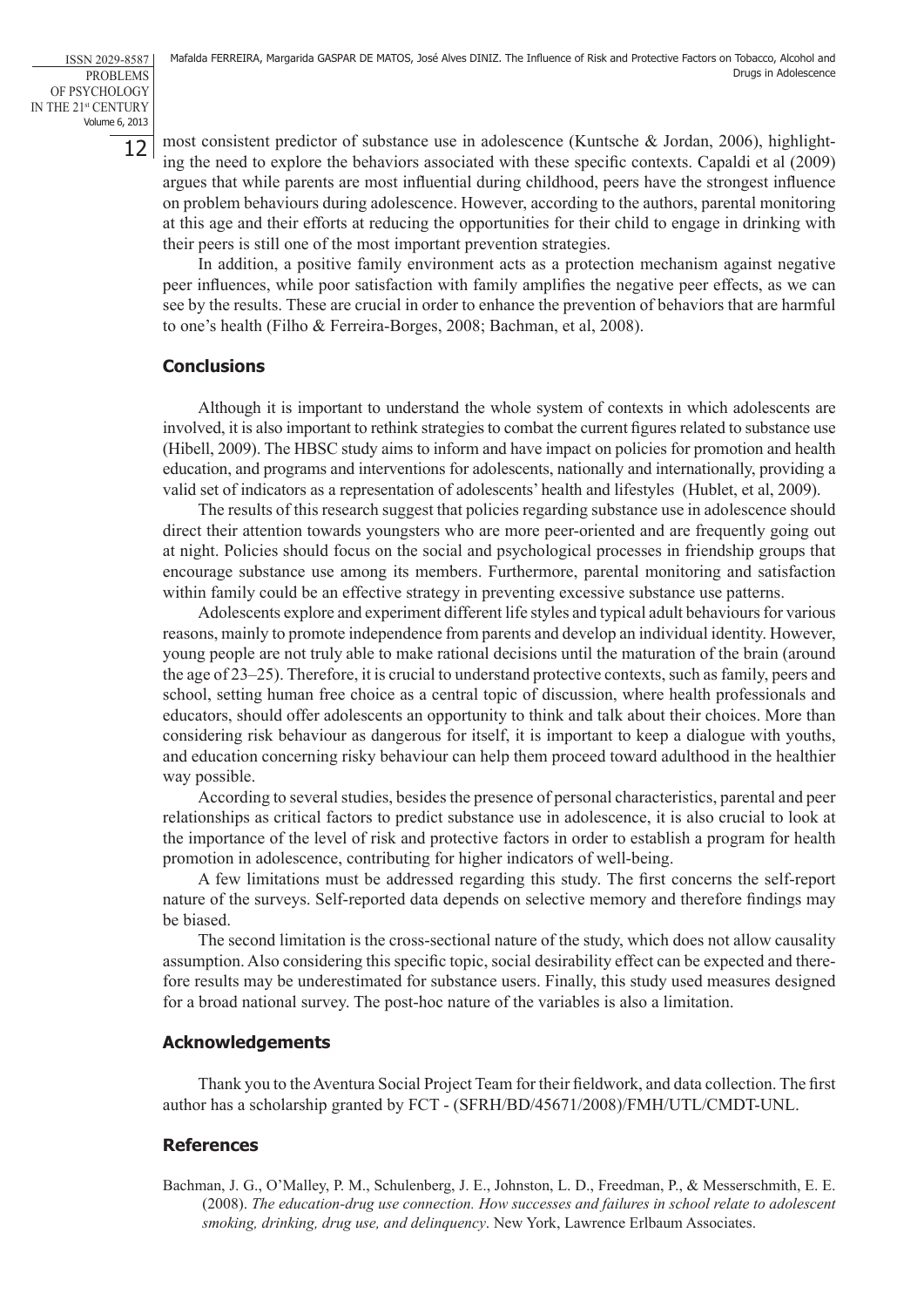12

most consistent predictor of substance use in adolescence (Kuntsche & Jordan, 2006), highlighting the need to explore the behaviors associated with these specific contexts. Capaldi et al (2009) argues that while parents are most influential during childhood, peers have the strongest influence on problem behaviours during adolescence. However, according to the authors, parental monitoring at this age and their efforts at reducing the opportunities for their child to engage in drinking with their peers is still one of the most important prevention strategies.

In addition, a positive family environment acts as a protection mechanism against negative peer influences, while poor satisfaction with family amplifies the negative peer effects, as we can see by the results. These are crucial in order to enhance the prevention of behaviors that are harmful to one's health (Filho & Ferreira-Borges, 2008; Bachman, et al, 2008).

# **Conclusions**

Although it is important to understand the whole system of contexts in which adolescents are involved, it is also important to rethink strategies to combat the current figures related to substance use (Hibell, 2009). The HBSC study aims to inform and have impact on policies for promotion and health education, and programs and interventions for adolescents, nationally and internationally, providing a valid set of indicators as a representation of adolescents' health and lifestyles (Hublet, et al, 2009).

The results of this research suggest that policies regarding substance use in adolescence should direct their attention towards youngsters who are more peer-oriented and are frequently going out at night. Policies should focus on the social and psychological processes in friendship groups that encourage substance use among its members. Furthermore, parental monitoring and satisfaction within family could be an effective strategy in preventing excessive substance use patterns.

Adolescents explore and experiment different life styles and typical adult behaviours for various reasons, mainly to promote independence from parents and develop an individual identity. However, young people are not truly able to make rational decisions until the maturation of the brain (around the age of 23–25). Therefore, it is crucial to understand protective contexts, such as family, peers and school, setting human free choice as a central topic of discussion, where health professionals and educators, should offer adolescents an opportunity to think and talk about their choices. More than considering risk behaviour as dangerous for itself, it is important to keep a dialogue with youths, and education concerning risky behaviour can help them proceed toward adulthood in the healthier way possible.

According to several studies, besides the presence of personal characteristics, parental and peer relationships as critical factors to predict substance use in adolescence, it is also crucial to look at the importance of the level of risk and protective factors in order to establish a program for health promotion in adolescence, contributing for higher indicators of well-being.

A few limitations must be addressed regarding this study. The first concerns the self-report nature of the surveys. Self-reported data depends on selective memory and therefore findings may be biased.

The second limitation is the cross-sectional nature of the study, which does not allow causality assumption. Also considering this specific topic, social desirability effect can be expected and therefore results may be underestimated for substance users. Finally, this study used measures designed for a broad national survey. The post-hoc nature of the variables is also a limitation.

# **Acknowledgements**

Thank you to the Aventura Social Project Team for their fieldwork, and data collection. The first author has a scholarship granted by FCT - (SFRH/BD/45671/2008)/FMH/UTL/CMDT-UNL.

# **References**

Bachman, J. G., O'Malley, P. M., Schulenberg, J. E., Johnston, L. D., Freedman, P., & Messerschmith, E. E. (2008). *The education-drug use connection. How successes and failures in school relate to adolescent smoking, drinking, drug use, and delinquency*. New York, Lawrence Erlbaum Associates.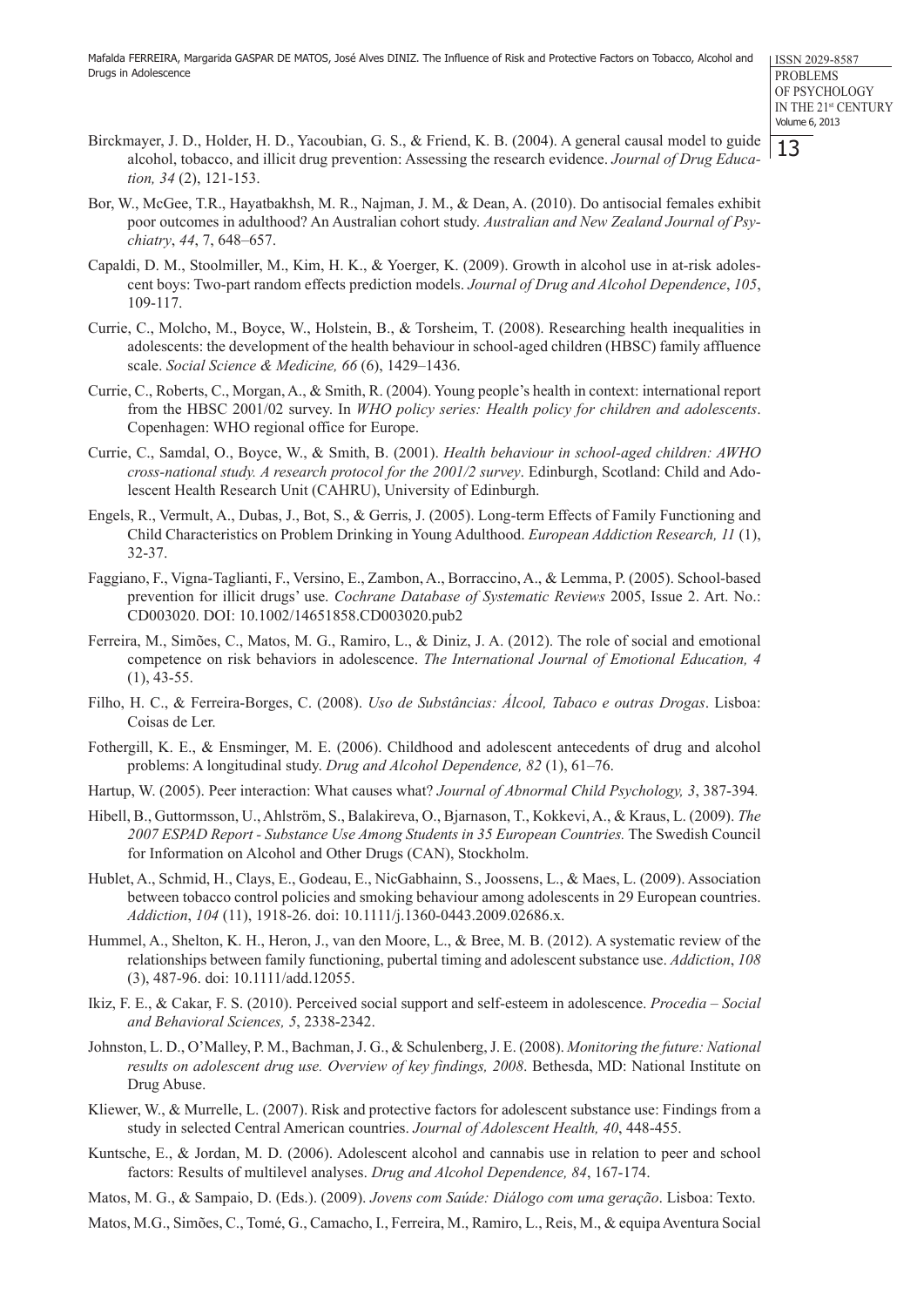ISSN 2029-8587 PROBLEMS OF PSYCHOLOGY IN THE 21st CENTURY Volume 6, 2013

13

- Birckmayer, J. D., Holder, H. D., Yacoubian, G. S., & Friend, K. B. (2004). A general causal model to guide alcohol, tobacco, and illicit drug prevention: Assessing the research evidence. *Journal of Drug Education, 34* (2), 121-153.
- Bor, W., McGee, T.R., Hayatbakhsh, M. R., Najman, J. M., & Dean, A. (2010). Do antisocial females exhibit poor outcomes in adulthood? An Australian cohort study. *Australian and New Zealand Journal of Psychiatry*, *44*, 7, 648–657.
- Capaldi, D. M., Stoolmiller, M., Kim, H. K., & Yoerger, K. (2009). Growth in alcohol use in at-risk adolescent boys: Two-part random effects prediction models. *Journal of Drug and Alcohol Dependence*, *105*, 109-117.
- Currie, C., Molcho, M., Boyce, W., Holstein, B., & Torsheim, T. (2008). Researching health inequalities in adolescents: the development of the health behaviour in school-aged children (HBSC) family affluence scale. *Social Science & Medicine, 66* (6), 1429–1436.
- Currie, C., Roberts, C., Morgan, A., & Smith, R. (2004). Young people's health in context: international report from the HBSC 2001/02 survey. In *WHO policy series: Health policy for children and adolescents*. Copenhagen: WHO regional office for Europe.
- Currie, C., Samdal, O., Boyce, W., & Smith, B. (2001). *Health behaviour in school-aged children: AWHO cross-national study. A research protocol for the 2001/2 survey*. Edinburgh, Scotland: Child and Adolescent Health Research Unit (CAHRU), University of Edinburgh.
- Engels, R., Vermult, A., Dubas, J., Bot, S., & Gerris, J. (2005). Long-term Effects of Family Functioning and Child Characteristics on Problem Drinking in Young Adulthood. *European Addiction Research, 11* (1), 32-37.
- Faggiano, F., Vigna-Taglianti, F., Versino, E., Zambon, A., Borraccino, A., & Lemma, P. (2005). School-based prevention for illicit drugs' use. *Cochrane Database of Systematic Reviews* 2005, Issue 2. Art. No.: CD003020. DOI: 10.1002/14651858.CD003020.pub2
- Ferreira, M., Simões, C., Matos, M. G., Ramiro, L., & Diniz, J. A. (2012). The role of social and emotional competence on risk behaviors in adolescence. *The International Journal of Emotional Education, 4*  $(1)$ , 43-55.
- Filho, H. C., & Ferreira-Borges, C. (2008). *Uso de Substâncias: Álcool, Tabaco e outras Drogas*. Lisboa: Coisas de Ler.
- Fothergill, K. E., & Ensminger, M. E. (2006). Childhood and adolescent antecedents of drug and alcohol problems: A longitudinal study. *Drug and Alcohol Dependence, 82* (1), 61–76.
- Hartup, W. (2005). Peer interaction: What causes what? *Journal of Abnormal Child Psychology, 3*, 387-394*.*
- Hibell, B., Guttormsson, U., Ahlström, S., Balakireva, O., Bjarnason, T., Kokkevi, A., & Kraus, L. (2009). *The 2007 ESPAD Report - Substance Use Among Students in 35 European Countries.* The Swedish Council for Information on Alcohol and Other Drugs (CAN), Stockholm.
- Hublet, A., Schmid, H., Clays, E., Godeau, E., NicGabhainn, S., Joossens, L., & Maes, L. (2009). Association between tobacco control policies and smoking behaviour among adolescents in 29 European countries. *Addiction*, *104* (11), 1918-26. doi: 10.1111/j.1360-0443.2009.02686.x.
- Hummel, A., Shelton, K. H., Heron, J., van den Moore, L., & Bree, M. B. (2012). A systematic review of the relationships between family functioning, pubertal timing and adolescent substance use. *Addiction*, *108*  (3), 487-96. doi: 10.1111/add.12055.
- Ikiz, F. E., & Cakar, F. S. (2010). Perceived social support and self-esteem in adolescence. *Procedia Social and Behavioral Sciences, 5*, 2338-2342.
- Johnston, L. D., O'Malley, P. M., Bachman, J. G., & Schulenberg, J. E. (2008). *Monitoring the future: National results on adolescent drug use. Overview of key findings, 2008*. Bethesda, MD: National Institute on Drug Abuse.
- Kliewer, W., & Murrelle, L. (2007). Risk and protective factors for adolescent substance use: Findings from a study in selected Central American countries. *Journal of Adolescent Health, 40*, 448-455.
- Kuntsche, E., & Jordan, M. D. (2006). Adolescent alcohol and cannabis use in relation to peer and school factors: Results of multilevel analyses. *Drug and Alcohol Dependence, 84*, 167-174.
- Matos, M. G., & Sampaio, D. (Eds.). (2009). *Jovens com Saúde: Diálogo com uma geração*. Lisboa: Texto.
- Matos, M.G., Simões, C., Tomé, G., Camacho, I., Ferreira, M., Ramiro, L., Reis, M., & equipa Aventura Social